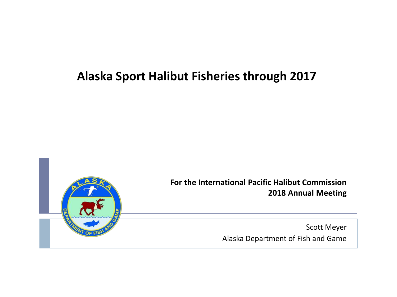#### **Alaska Sport Halibut Fisheries through 2017**

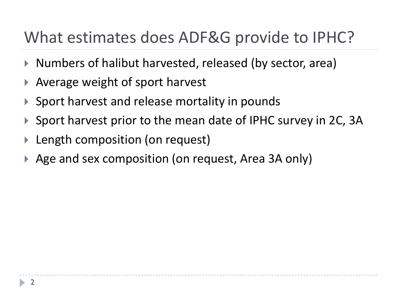# What estimates does ADF&G provide to IPHC?

- ▶ Numbers of halibut harvested, released (by sector, area)
- ▶ Average weight of sport harvest
- ▶ Sport harvest and release mortality in pounds
- ▶ Sport harvest prior to the mean date of IPHC survey in 2C, 3A
- Length composition (on request)
- ▶ Age and sex composition (on request, Area 3A only)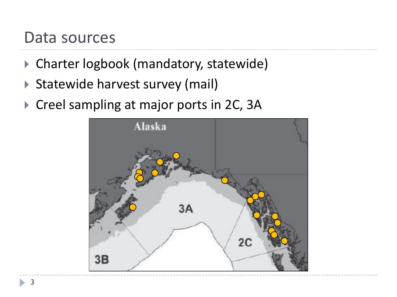## Data sources

- ▶ Charter logbook (mandatory, statewide)
- ▶ Statewide harvest survey (mail)
- ▶ Creel sampling at major ports in 2C, 3A

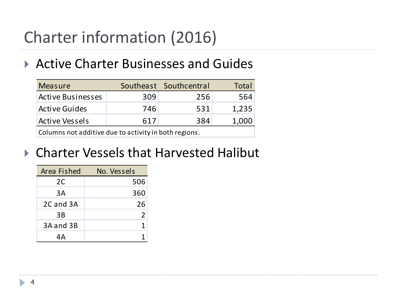# Charter information (2016)

#### ▶ Active Charter Businesses and Guides

| <b>Measure</b>                                        |     | Southeast Southcentral | Total |  |  |  |
|-------------------------------------------------------|-----|------------------------|-------|--|--|--|
| <b>Active Businesses</b>                              | 309 | 256                    | 564   |  |  |  |
| <b>Active Guides</b>                                  | 746 | 531                    | 1,235 |  |  |  |
| <b>Active Vessels</b>                                 | 617 | 384                    | 1,000 |  |  |  |
| Columns not additive due to activity in both regions. |     |                        |       |  |  |  |

### ▶ Charter Vessels that Harvested Halibut

| Area Fished | No. Vessels |  |
|-------------|-------------|--|
| 2C          | 506         |  |
| 3A          | 360         |  |
| 2C and 3A   | 26          |  |
| 3B          | 2           |  |
| 3A and 3B   | 1           |  |
|             |             |  |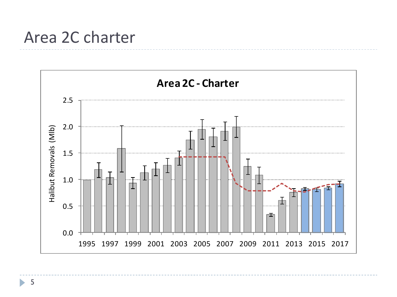## Area 2C charter

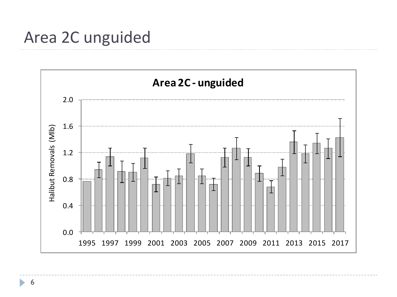# Area 2C unguided

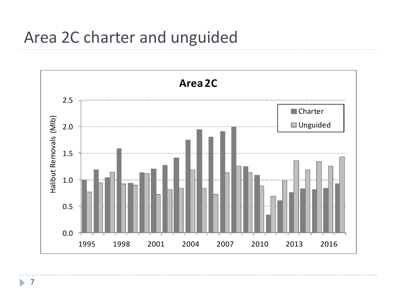# Area 2C charter and unguided



7 b.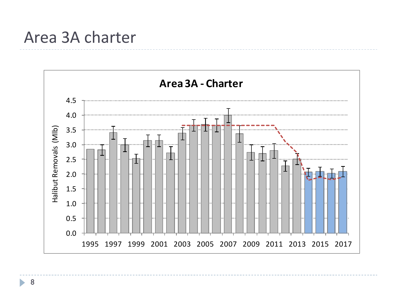## Area 3A charter

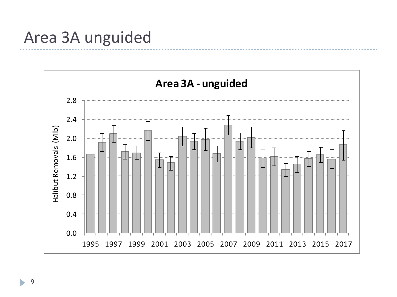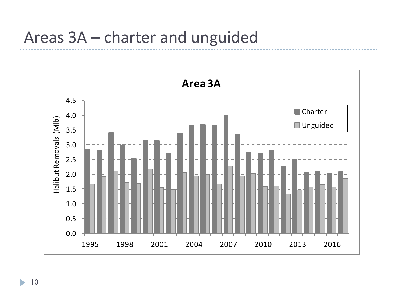# Areas 3A – charter and unguided



10

b.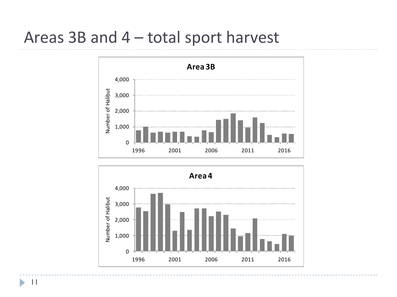# Areas 3B and 4 – total sport harvest



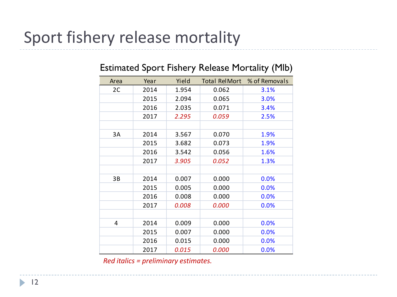# Sport fishery release mortality

| Area                                 | Year | Yield | <b>Total RelMort</b> | % of Removals |  |
|--------------------------------------|------|-------|----------------------|---------------|--|
| 2C                                   | 2014 | 1.954 | 0.062                | 3.1%          |  |
|                                      | 2015 | 2.094 | 0.065                | 3.0%          |  |
|                                      | 2016 | 2.035 | 0.071                | 3.4%          |  |
|                                      | 2017 | 2.295 | 0.059                | 2.5%          |  |
|                                      |      |       |                      |               |  |
| 3A                                   | 2014 | 3.567 | 0.070                | 1.9%          |  |
|                                      | 2015 | 3.682 | 0.073                | 1.9%          |  |
|                                      | 2016 | 3.542 | 0.056                | 1.6%          |  |
|                                      | 2017 | 3.905 | 0.052                | 1.3%          |  |
|                                      |      |       |                      |               |  |
| 3B                                   | 2014 | 0.007 | 0.000                | 0.0%          |  |
|                                      | 2015 | 0.005 | 0.000                | 0.0%          |  |
|                                      | 2016 | 0.008 | 0.000                | 0.0%          |  |
|                                      | 2017 | 0.008 | 0.000                | 0.0%          |  |
|                                      |      |       |                      |               |  |
| 4                                    | 2014 | 0.009 | 0.000                | 0.0%          |  |
|                                      | 2015 | 0.007 | 0.000                | 0.0%          |  |
|                                      | 2016 | 0.015 | 0.000                | 0.0%          |  |
|                                      | 2017 | 0.015 | 0.000                | 0.0%          |  |
| Red italics = preliminary estimates. |      |       |                      |               |  |

#### Estimated Sport Fishery Release Mortality (Mlb)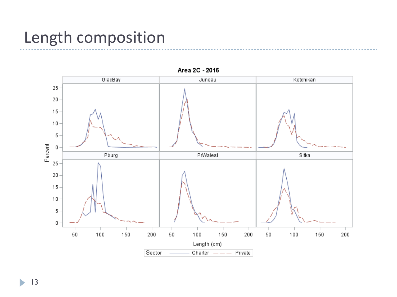# Length composition



Area 2C - 2016

 $\blacktriangleright$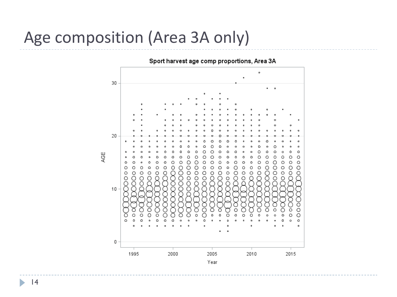# Age composition (Area 3A only)

Sport harvest age comp proportions, Area 3A

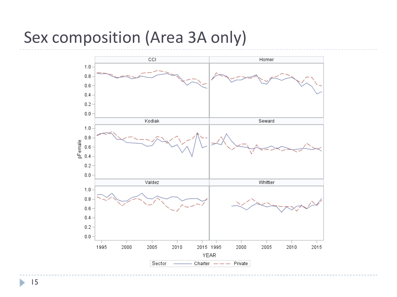# Sex composition (Area 3A only)



15

b.